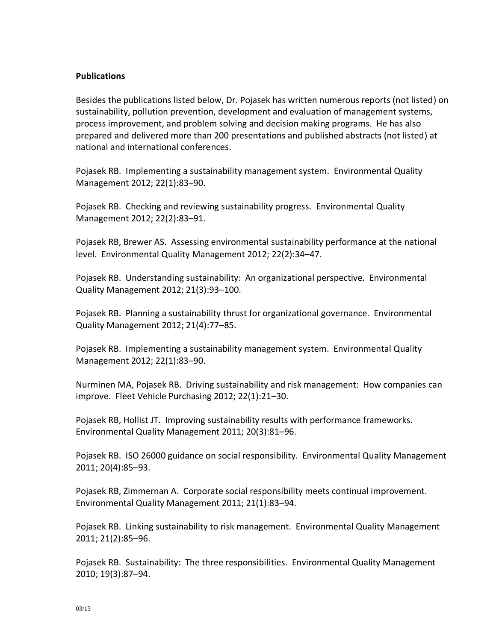### **Publications**

Besides the publications listed below, Dr. Pojasek has written numerous reports (not listed) on sustainability, pollution prevention, development and evaluation of management systems, process improvement, and problem solving and decision making programs. He has also prepared and delivered more than 200 presentations and published abstracts (not listed) at national and international conferences.

Pojasek RB. Implementing a sustainability management system. Environmental Quality Management 2012; 22(1):83–90.

Pojasek RB. Checking and reviewing sustainability progress. Environmental Quality Management 2012; 22(2):83–91.

Pojasek RB, Brewer AS. Assessing environmental sustainability performance at the national level. Environmental Quality Management 2012; 22(2):34–47.

Pojasek RB. Understanding sustainability: An organizational perspective. Environmental Quality Management 2012; 21(3):93–100.

Pojasek RB. Planning a sustainability thrust for organizational governance. Environmental Quality Management 2012; 21(4):77–85.

Pojasek RB. Implementing a sustainability management system. Environmental Quality Management 2012; 22(1):83–90.

Nurminen MA, Pojasek RB. Driving sustainability and risk management: How companies can improve. Fleet Vehicle Purchasing 2012; 22(1):21–30.

Pojasek RB, Hollist JT. Improving sustainability results with performance frameworks. Environmental Quality Management 2011; 20(3):81–96.

Pojasek RB. ISO 26000 guidance on social responsibility. Environmental Quality Management 2011; 20(4):85–93.

Pojasek RB, Zimmernan A. Corporate social responsibility meets continual improvement. Environmental Quality Management 2011; 21(1):83–94.

Pojasek RB. Linking sustainability to risk management. Environmental Quality Management 2011; 21(2):85–96.

Pojasek RB. Sustainability: The three responsibilities. Environmental Quality Management 2010; 19(3):87–94.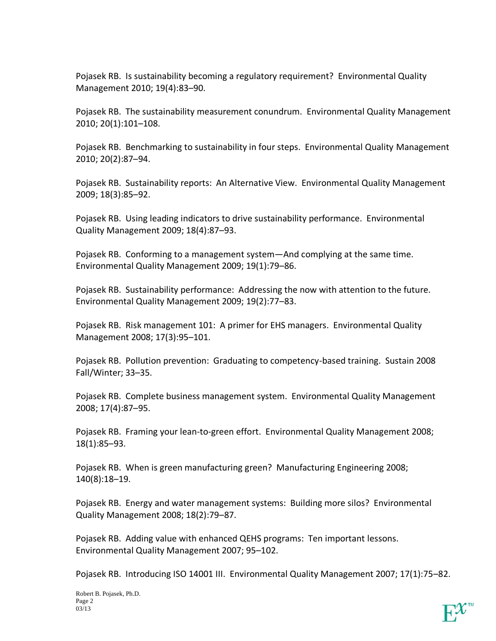Pojasek RB. Is sustainability becoming a regulatory requirement? Environmental Quality Management 2010; 19(4):83–90.

Pojasek RB. The sustainability measurement conundrum. Environmental Quality Management 2010; 20(1):101–108.

Pojasek RB. Benchmarking to sustainability in four steps. Environmental Quality Management 2010; 20(2):87–94.

Pojasek RB. Sustainability reports: An Alternative View. Environmental Quality Management 2009; 18(3):85–92.

Pojasek RB. Using leading indicators to drive sustainability performance. Environmental Quality Management 2009; 18(4):87–93.

Pojasek RB. Conforming to a management system—And complying at the same time. Environmental Quality Management 2009; 19(1):79–86.

Pojasek RB. Sustainability performance: Addressing the now with attention to the future. Environmental Quality Management 2009; 19(2):77–83.

Pojasek RB. Risk management 101: A primer for EHS managers. Environmental Quality Management 2008; 17(3):95–101.

Pojasek RB. Pollution prevention: Graduating to competency-based training. Sustain 2008 Fall/Winter; 33–35.

Pojasek RB. Complete business management system. Environmental Quality Management 2008; 17(4):87–95.

Pojasek RB. Framing your lean-to-green effort. Environmental Quality Management 2008; 18(1):85–93.

Pojasek RB. When is green manufacturing green? Manufacturing Engineering 2008; 140(8):18–19.

Pojasek RB. Energy and water management systems: Building more silos? Environmental Quality Management 2008; 18(2):79–87.

Pojasek RB. Adding value with enhanced QEHS programs: Ten important lessons. Environmental Quality Management 2007; 95–102.

Pojasek RB. Introducing ISO 14001 III. Environmental Quality Management 2007; 17(1):75–82.

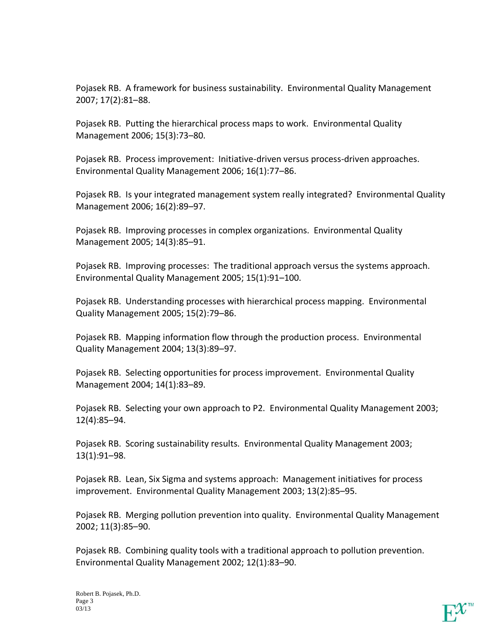Pojasek RB. A framework for business sustainability. Environmental Quality Management 2007; 17(2):81–88.

Pojasek RB. Putting the hierarchical process maps to work. Environmental Quality Management 2006; 15(3):73–80.

Pojasek RB. Process improvement: Initiative-driven versus process-driven approaches. Environmental Quality Management 2006; 16(1):77–86.

Pojasek RB. Is your integrated management system really integrated? Environmental Quality Management 2006; 16(2):89–97.

Pojasek RB. Improving processes in complex organizations. Environmental Quality Management 2005; 14(3):85–91.

Pojasek RB. Improving processes: The traditional approach versus the systems approach. Environmental Quality Management 2005; 15(1):91–100.

Pojasek RB. Understanding processes with hierarchical process mapping. Environmental Quality Management 2005; 15(2):79–86.

Pojasek RB. Mapping information flow through the production process. Environmental Quality Management 2004; 13(3):89–97.

Pojasek RB. Selecting opportunities for process improvement. Environmental Quality Management 2004; 14(1):83–89.

Pojasek RB. Selecting your own approach to P2. Environmental Quality Management 2003; 12(4):85–94.

Pojasek RB. Scoring sustainability results. Environmental Quality Management 2003; 13(1):91–98.

Pojasek RB. Lean, Six Sigma and systems approach: Management initiatives for process improvement. Environmental Quality Management 2003; 13(2):85–95.

Pojasek RB. Merging pollution prevention into quality. Environmental Quality Management 2002; 11(3):85–90.

Pojasek RB. Combining quality tools with a traditional approach to pollution prevention. Environmental Quality Management 2002; 12(1):83–90.

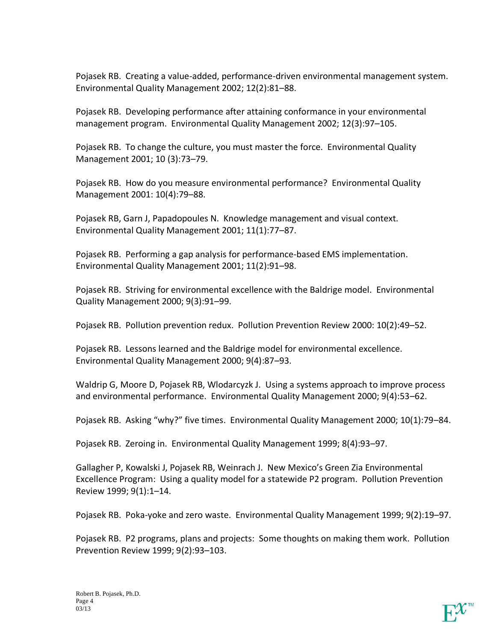Pojasek RB. Creating a value-added, performance-driven environmental management system. Environmental Quality Management 2002; 12(2):81–88.

Pojasek RB. Developing performance after attaining conformance in your environmental management program. Environmental Quality Management 2002; 12(3):97–105.

Pojasek RB. To change the culture, you must master the force. Environmental Quality Management 2001; 10 (3):73–79.

Pojasek RB. How do you measure environmental performance? Environmental Quality Management 2001: 10(4):79–88.

Pojasek RB, Garn J, Papadopoules N. Knowledge management and visual context. Environmental Quality Management 2001; 11(1):77–87.

Pojasek RB. Performing a gap analysis for performance-based EMS implementation. Environmental Quality Management 2001; 11(2):91–98.

Pojasek RB. Striving for environmental excellence with the Baldrige model. Environmental Quality Management 2000; 9(3):91–99.

Pojasek RB. Pollution prevention redux. Pollution Prevention Review 2000: 10(2):49–52.

Pojasek RB. Lessons learned and the Baldrige model for environmental excellence. Environmental Quality Management 2000; 9(4):87–93.

Waldrip G, Moore D, Pojasek RB, Wlodarcyzk J. Using a systems approach to improve process and environmental performance. Environmental Quality Management 2000; 9(4):53–62.

Pojasek RB. Asking "why?" five times. Environmental Quality Management 2000; 10(1):79–84.

Pojasek RB. Zeroing in. Environmental Quality Management 1999; 8(4):93–97.

Gallagher P, Kowalski J, Pojasek RB, Weinrach J. New Mexico's Green Zia Environmental Excellence Program: Using a quality model for a statewide P2 program. Pollution Prevention Review 1999; 9(1):1–14.

Pojasek RB. Poka-yoke and zero waste. Environmental Quality Management 1999; 9(2):19–97.

Pojasek RB. P2 programs, plans and projects: Some thoughts on making them work. Pollution Prevention Review 1999; 9(2):93–103.

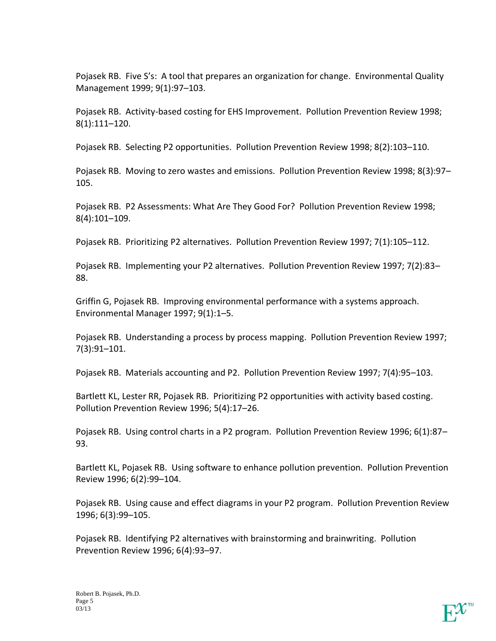Pojasek RB. Five S's: A tool that prepares an organization for change. Environmental Quality Management 1999; 9(1):97–103.

Pojasek RB. Activity-based costing for EHS Improvement. Pollution Prevention Review 1998; 8(1):111–120.

Pojasek RB. Selecting P2 opportunities. Pollution Prevention Review 1998; 8(2):103–110.

Pojasek RB. Moving to zero wastes and emissions. Pollution Prevention Review 1998; 8(3):97– 105.

Pojasek RB. P2 Assessments: What Are They Good For? Pollution Prevention Review 1998; 8(4):101–109.

Pojasek RB. Prioritizing P2 alternatives. Pollution Prevention Review 1997; 7(1):105–112.

Pojasek RB. Implementing your P2 alternatives. Pollution Prevention Review 1997; 7(2):83– 88.

Griffin G, Pojasek RB. Improving environmental performance with a systems approach. Environmental Manager 1997; 9(1):1–5.

Pojasek RB. Understanding a process by process mapping. Pollution Prevention Review 1997; 7(3):91–101.

Pojasek RB. Materials accounting and P2. Pollution Prevention Review 1997; 7(4):95–103.

Bartlett KL, Lester RR, Pojasek RB. Prioritizing P2 opportunities with activity based costing. Pollution Prevention Review 1996; 5(4):17–26.

Pojasek RB. Using control charts in a P2 program. Pollution Prevention Review 1996; 6(1):87– 93.

Bartlett KL, Pojasek RB. Using software to enhance pollution prevention. Pollution Prevention Review 1996; 6(2):99–104.

Pojasek RB. Using cause and effect diagrams in your P2 program. Pollution Prevention Review 1996; 6(3):99–105.

Pojasek RB. Identifying P2 alternatives with brainstorming and brainwriting. Pollution Prevention Review 1996; 6(4):93–97.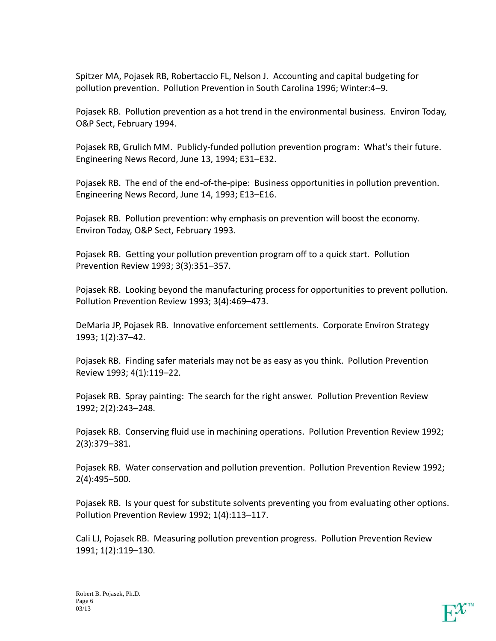Spitzer MA, Pojasek RB, Robertaccio FL, Nelson J. Accounting and capital budgeting for pollution prevention. Pollution Prevention in South Carolina 1996; Winter:4–9.

Pojasek RB. Pollution prevention as a hot trend in the environmental business. Environ Today, O&P Sect, February 1994.

Pojasek RB, Grulich MM. Publicly-funded pollution prevention program: What's their future. Engineering News Record, June 13, 1994; E31–E32.

Pojasek RB. The end of the end-of-the-pipe: Business opportunities in pollution prevention. Engineering News Record, June 14, 1993; E13–E16.

Pojasek RB. Pollution prevention: why emphasis on prevention will boost the economy. Environ Today, O&P Sect, February 1993.

Pojasek RB. Getting your pollution prevention program off to a quick start. Pollution Prevention Review 1993; 3(3):351–357.

Pojasek RB. Looking beyond the manufacturing process for opportunities to prevent pollution. Pollution Prevention Review 1993; 3(4):469–473.

DeMaria JP, Pojasek RB. Innovative enforcement settlements. Corporate Environ Strategy 1993; 1(2):37–42.

Pojasek RB. Finding safer materials may not be as easy as you think. Pollution Prevention Review 1993; 4(1):119–22.

Pojasek RB. Spray painting: The search for the right answer. Pollution Prevention Review 1992; 2(2):243–248.

Pojasek RB. Conserving fluid use in machining operations. Pollution Prevention Review 1992; 2(3):379–381.

Pojasek RB. Water conservation and pollution prevention. Pollution Prevention Review 1992; 2(4):495–500.

Pojasek RB. Is your quest for substitute solvents preventing you from evaluating other options. Pollution Prevention Review 1992; 1(4):113–117.

Cali LJ, Pojasek RB. Measuring pollution prevention progress. Pollution Prevention Review 1991; 1(2):119–130.

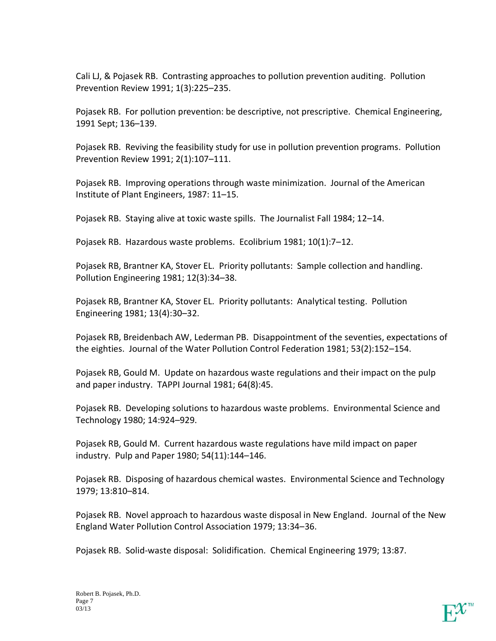Cali LJ, & Pojasek RB. Contrasting approaches to pollution prevention auditing. Pollution Prevention Review 1991; 1(3):225–235.

Pojasek RB. For pollution prevention: be descriptive, not prescriptive. Chemical Engineering, 1991 Sept; 136–139.

Pojasek RB. Reviving the feasibility study for use in pollution prevention programs. Pollution Prevention Review 1991; 2(1):107–111.

Pojasek RB. Improving operations through waste minimization. Journal of the American Institute of Plant Engineers, 1987: 11–15.

Pojasek RB. Staying alive at toxic waste spills. The Journalist Fall 1984; 12–14.

Pojasek RB. Hazardous waste problems. Ecolibrium 1981; 10(1):7–12.

Pojasek RB, Brantner KA, Stover EL. Priority pollutants: Sample collection and handling. Pollution Engineering 1981; 12(3):34–38.

Pojasek RB, Brantner KA, Stover EL. Priority pollutants: Analytical testing. Pollution Engineering 1981; 13(4):30–32.

Pojasek RB, Breidenbach AW, Lederman PB. Disappointment of the seventies, expectations of the eighties. Journal of the Water Pollution Control Federation 1981; 53(2):152–154.

Pojasek RB, Gould M. Update on hazardous waste regulations and their impact on the pulp and paper industry. TAPPI Journal 1981; 64(8):45.

Pojasek RB. Developing solutions to hazardous waste problems. Environmental Science and Technology 1980; 14:924–929.

Pojasek RB, Gould M. Current hazardous waste regulations have mild impact on paper industry. Pulp and Paper 1980; 54(11):144–146.

Pojasek RB. Disposing of hazardous chemical wastes. Environmental Science and Technology 1979; 13:810–814.

Pojasek RB. Novel approach to hazardous waste disposal in New England. Journal of the New England Water Pollution Control Association 1979; 13:34–36.

Pojasek RB. Solid-waste disposal: Solidification. Chemical Engineering 1979; 13:87.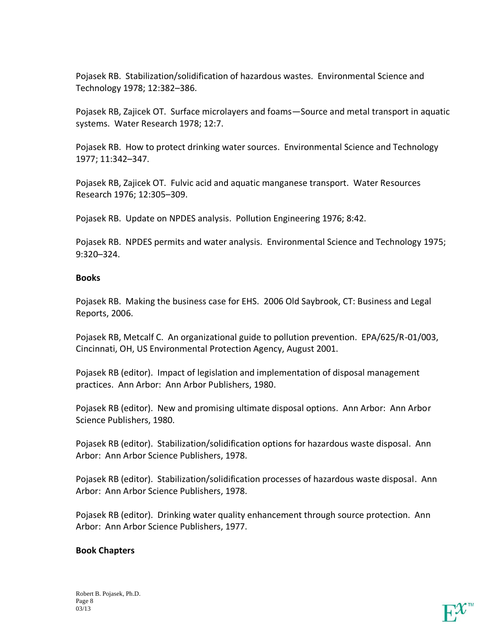Pojasek RB. Stabilization/solidification of hazardous wastes. Environmental Science and Technology 1978; 12:382–386.

Pojasek RB, Zajicek OT. Surface microlayers and foams—Source and metal transport in aquatic systems. Water Research 1978; 12:7.

Pojasek RB. How to protect drinking water sources. Environmental Science and Technology 1977; 11:342–347.

Pojasek RB, Zajicek OT. Fulvic acid and aquatic manganese transport. Water Resources Research 1976; 12:305–309.

Pojasek RB. Update on NPDES analysis. Pollution Engineering 1976; 8:42.

Pojasek RB. NPDES permits and water analysis. Environmental Science and Technology 1975; 9:320–324.

### **Books**

Pojasek RB. Making the business case for EHS. 2006 Old Saybrook, CT: Business and Legal Reports, 2006.

Pojasek RB, Metcalf C. An organizational guide to pollution prevention. EPA/625/R-01/003, Cincinnati, OH, US Environmental Protection Agency, August 2001.

Pojasek RB (editor). Impact of legislation and implementation of disposal management practices. Ann Arbor: Ann Arbor Publishers, 1980.

Pojasek RB (editor). New and promising ultimate disposal options. Ann Arbor: Ann Arbor Science Publishers, 1980.

Pojasek RB (editor). Stabilization/solidification options for hazardous waste disposal. Ann Arbor: Ann Arbor Science Publishers, 1978.

Pojasek RB (editor). Stabilization/solidification processes of hazardous waste disposal. Ann Arbor: Ann Arbor Science Publishers, 1978.

Pojasek RB (editor). Drinking water quality enhancement through source protection. Ann Arbor: Ann Arbor Science Publishers, 1977.

# **Book Chapters**

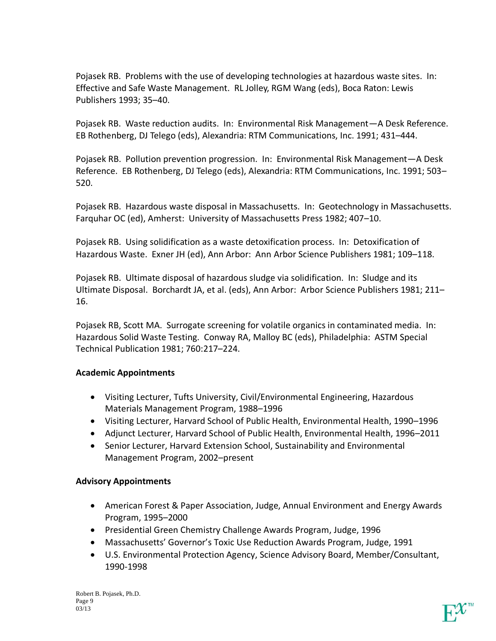Pojasek RB. Problems with the use of developing technologies at hazardous waste sites. In: Effective and Safe Waste Management. RL Jolley, RGM Wang (eds), Boca Raton: Lewis Publishers 1993; 35–40.

Pojasek RB. Waste reduction audits. In: Environmental Risk Management—A Desk Reference. EB Rothenberg, DJ Telego (eds), Alexandria: RTM Communications, Inc. 1991; 431–444.

Pojasek RB. Pollution prevention progression. In: Environmental Risk Management—A Desk Reference. EB Rothenberg, DJ Telego (eds), Alexandria: RTM Communications, Inc. 1991; 503– 520.

Pojasek RB. Hazardous waste disposal in Massachusetts. In: Geotechnology in Massachusetts. Farquhar OC (ed), Amherst: University of Massachusetts Press 1982; 407–10.

Pojasek RB. Using solidification as a waste detoxification process. In: Detoxification of Hazardous Waste. Exner JH (ed), Ann Arbor: Ann Arbor Science Publishers 1981; 109–118.

Pojasek RB. Ultimate disposal of hazardous sludge via solidification. In: Sludge and its Ultimate Disposal. Borchardt JA, et al. (eds), Ann Arbor: Arbor Science Publishers 1981; 211– 16.

Pojasek RB, Scott MA. Surrogate screening for volatile organics in contaminated media. In: Hazardous Solid Waste Testing. Conway RA, Malloy BC (eds), Philadelphia: ASTM Special Technical Publication 1981; 760:217–224.

# **Academic Appointments**

- Visiting Lecturer, Tufts University, Civil/Environmental Engineering, Hazardous Materials Management Program, 1988–1996
- Visiting Lecturer, Harvard School of Public Health, Environmental Health, 1990–1996
- Adjunct Lecturer, Harvard School of Public Health, Environmental Health, 1996–2011
- Senior Lecturer, Harvard Extension School, Sustainability and Environmental Management Program, 2002–present

# **Advisory Appointments**

- American Forest & Paper Association, Judge, Annual Environment and Energy Awards Program, 1995–2000
- Presidential Green Chemistry Challenge Awards Program, Judge, 1996
- Massachusetts' Governor's Toxic Use Reduction Awards Program, Judge, 1991
- U.S. Environmental Protection Agency, Science Advisory Board, Member/Consultant, 1990-1998